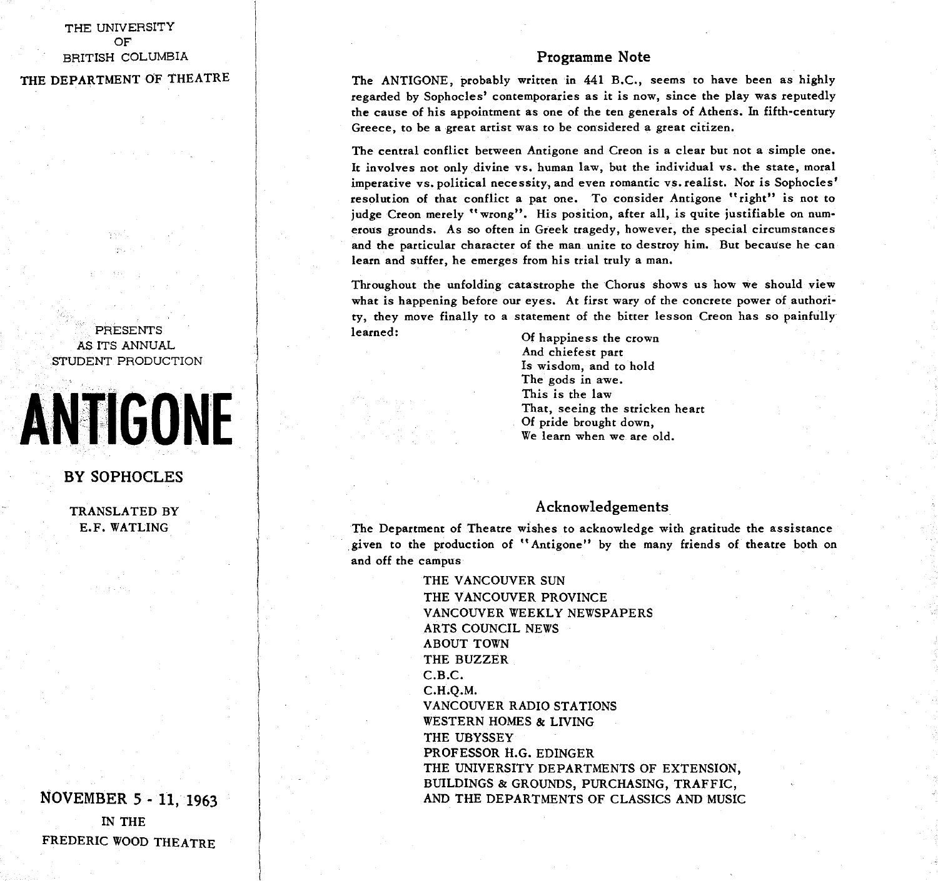### THE UNIVERSITY OF BRITISH COLUMBIA

THE DEPARTMENT OF THEATRE

#### PRESENTS AS ITS ANNUAL STUDENT PRODUCTION

# **ANTIGONE**

#### BY SOPHOCLES

TRANSLATED BY E.F. WATLING

NOVEMBER 5 - 11, 1963 IN THE FREDERIC WOOD THEATRE

#### Programme Note

The ANTIGONE, probably written in 441 B.C., seems to have been as highly regarded by Sophocles' contemporaries as it is now, since the play was reputedly the cause of his appointment as one of the ten generals of Athens. In fifth-century Greece, to be a great artist was to be considered a great citizen.

The central conflict between Antigone and Creon is a clear but not a simple one. It involves not only divine vs. human law, but the individual vs. the state, moral imperative vs. political necessity, and even romantic vs. realist. Nor is Sophocles' resolution of that conflict a pat one. To consider Antigone "right" is not to judge Creon merely "wrong". His position, after all, is quite justifiable on numerous grounds. As so often in Greek tragedy, however, the special circumstances and the particular character of the man unite to destroy him. But because he can learn and suffer, he emerges from his trial truly a man.

Throughout the unfolding catastrophe the Chorus shows us how we should view what is happening before our eyes. At first wary of the concrete power of authority, they move finally to a statement of the bitter lesson Creon has so painfully learned: *Particular Community Community Community Community Community Community Community Community Community Community Community Community Community Community Community Community Community Community Community Community* 

And chiefest part Is wisdom, and to hold The gods in awe. This is the law That, seeing the stricken heart Of pride brought down,  $\overline{W}$ e learn when we are  $\overline{C}$ We learn when we are old.

#### Acknowledgements

The Department of Theatre wishes to acknowledge with gratitude the assistance given to the production of "Antigone " by the many friends of theatre both on and off the campus

> THE VANCOUVER SUN THE VANCOUVER PROVINCE VANCOUVER WEEKLY NEWSPAPERS ARTS COUNCIL NEWS ABOUT TOWN THE BUZZER C.B.C. C.H.Q.M. VANCOUVER RADIO STATIONS WESTERN HOMES & LIVING THE UBYSSEY PROFESSOR H.G. EDINGER THE UNIVERSITY DEPARTMENTS OF EXTENSION, BUILDINGS & GROUNDS, PURCHASING, TRAFFIC, AND THE DEPARTMENTS OF CLASSICS AND MUSIC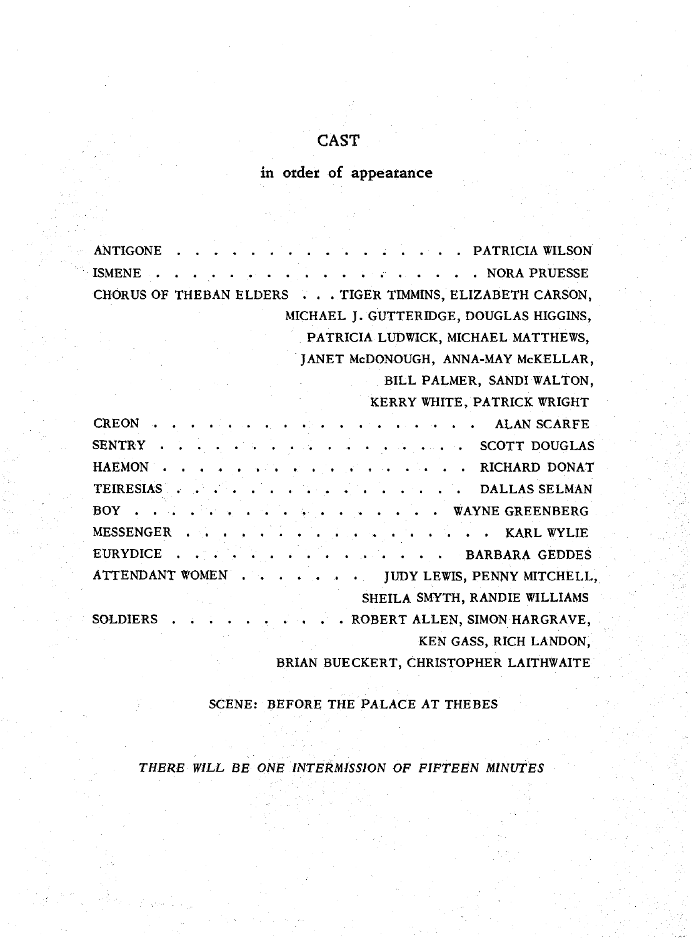## CAST

# in order of appearance

| . PATRICIA WILSON<br>ANTIGONE                            |
|----------------------------------------------------------|
| . NORA PRUESSE<br><b>ISMENE</b>                          |
| CHORUS OF THEBAN ELDERS TIGER TIMMINS, ELIZABETH CARSON, |
| MICHAEL J. GUTTERIDGE, DOUGLAS HIGGINS,                  |
| PATRICIA LUDWICK, MICHAEL MATTHEWS,                      |
| JANET McDONOUGH, ANNA-MAY McKELLAR,                      |
| BILL PALMER, SANDI WALTON,                               |
| KERRY WHITE, PATRICK WRIGHT                              |
| . ALAN SCARFE<br><b>CREON</b>                            |
| SENTRY SCOTT DOUGLAS                                     |
| HAEMON RICHARD DONAT                                     |
| TEIRESIAS DALLAS SELMAN                                  |
| BOY WAYNE GREENBERG                                      |
|                                                          |
| EURYDICE BARBARA GEDDES                                  |
| ATTENDANT WOMEN JUDY LEWIS, PENNY MITCHELL,              |
| SHEILA SMYTH, RANDIE WILLIAMS                            |
| . . ROBERT ALLEN, SIMON HARGRAVE,<br><b>SOLDIERS</b>     |
| KEN GASS, RICH LANDON,                                   |
| BRIAN BUECKERT, CHRISTOPHER LAITHWAITE                   |

SCENE: BEFORE THE PALACE AT THEBES

*THERE WILL BE ONE INTERMISSION OF FIFTEEN MINUTES*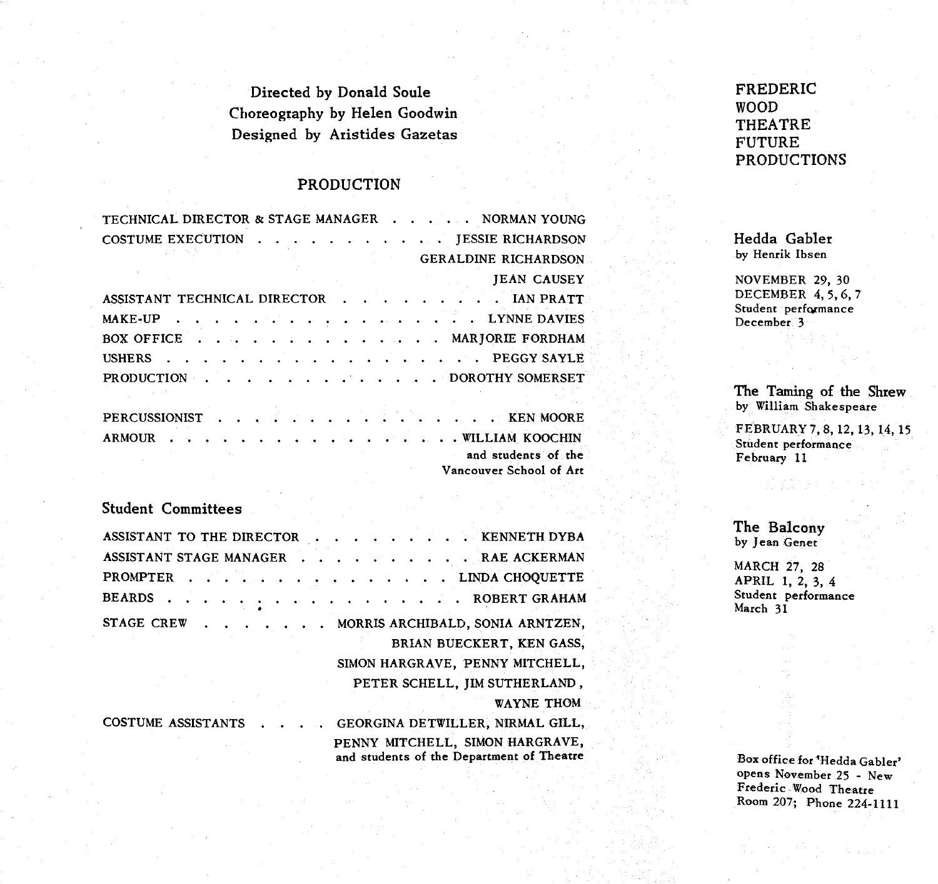Directed by Donald Soule Choreography by Helen Goodwin Designed by Aristides Gazetas

#### PRODUCTION

| TECHNICAL DIRECTOR & STAGE MANAGER NORMAN YOUNG                                             |
|---------------------------------------------------------------------------------------------|
| <b>COSTUME EXECUTION</b><br><b>JESSIE RICHARDSON</b>                                        |
| <b>GERALDINE RICHARDSON</b>                                                                 |
| <b>JEAN CAUSEY</b>                                                                          |
| ASSISTANT TECHNICAL DIRECTOR IAN PRATT                                                      |
| . LYNNE DAVIES<br>MAKE-UP                                                                   |
| BOX OFFICE MARIORIE FORDHAM                                                                 |
| . PEGGY SAYLE<br><b>USHERS</b>                                                              |
| $\ldots$ $\ldots$ $\ldots$ $\ldots$ $\ldots$ $\ldots$ DOROTHY SOMERSET<br><b>PRODUCTION</b> |
|                                                                                             |
| PERCUSSIONIST KEN MOORE                                                                     |
| ------ - - - - - - - - - - - - - - -<br><b>A MA &amp; P  M WHAT</b>                         |

|  |  |  |  |  |  |  |  |  | ARMOUR WILLIAM KOOCHIN  |
|--|--|--|--|--|--|--|--|--|-------------------------|
|  |  |  |  |  |  |  |  |  | and students of the     |
|  |  |  |  |  |  |  |  |  | Vancouver School of Art |

#### Student Committees

| ASSISTANT TO THE DIRECTOR KENNETH DYBA |                                                                              |
|----------------------------------------|------------------------------------------------------------------------------|
| ASSISTANT STAGE MANAGER RAE ACKERMAN   |                                                                              |
| <b>PROMPTER</b><br>.                   | . LINDA CHOQUETTE                                                            |
| <b>BEARDS</b>                          | . ROBERT GRAHAM                                                              |
| STAGE CREW                             | MORRIS ARCHIBALD, SONIA ARNTZEN,                                             |
|                                        | BRIAN BUECKERT, KEN GASS,                                                    |
|                                        | SIMON HARGRAVE, PENNY MITCHELL,                                              |
|                                        | PETER SCHELL, IIM SUTHERLAND,                                                |
|                                        | <b>WAYNE THOM</b>                                                            |
| <b>COSTUME ASSISTANTS</b>              | GEORGINA DETWILLER, NIRMAL GILL,                                             |
|                                        | PENNY MITCHELL, SIMON HARGRAVE,<br>and students of the Department of Theatre |

FREDERIC WOOD THEATRE FUTURE PRODUCTIONS

Hedda Gabler by Henrik Ibsen

NOVEMBER 29, 30 DECEMBER 4,5,6, 7 Student performance December 3

The Taming of the Shrew by William Shakespeare

FEBRUARY 7, 8, 12, 13, 14, 15 Student performance February 11

The Balcony by Jean Genet

MARCH 27, 28 APRIL 1, 2, 3, 4 Student performance March 31

Box office for 'Hedda Gabler' opens November 25 - New Frederic Wood Theatre Room 207; Phone 224-1111